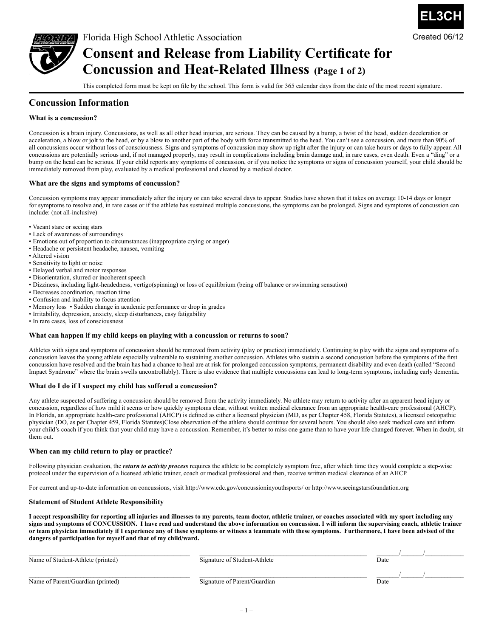

# **Consent and Release from Liability Certificate for Concussion and Heat-Related Illness (Page 1 of 2)**

This completed form must be kept on file by the school. This form is valid for 365 calendar days from the date of the most recent signature.

**EL3CH**

Created 06/12

### **Concussion Information**

#### **What is a concussion?**

Concussion is a brain injury. Concussions, as well as all other head injuries, are serious. They can be caused by a bump, a twist of the head, sudden deceleration or acceleration, a blow or jolt to the head, or by a blow to another part of the body with force transmitted to the head. You can't see a concussion, and more than 90% of all concussions occur without loss of consciousness. Signs and symptoms of concussion may show up right after the injury or can take hours or days to fully appear. All concussions are potentially serious and, if not managed properly, may result in complications including brain damage and, in rare cases, even death. Even a "ding" or a bump on the head can be serious. If your child reports any symptoms of concussion, or if you notice the symptoms or signs of concussion yourself, your child should be immediately removed from play, evaluated by a medical professional and cleared by a medical doctor.

#### **What are the signs and symptoms of concussion?**

Concussion symptoms may appear immediately after the injury or can take several days to appear. Studies have shown that it takes on average 10-14 days or longer for symptoms to resolve and, in rare cases or if the athlete has sustained multiple concussions, the symptoms can be prolonged. Signs and symptoms of concussion can include: (not all-inclusive)

- Vacant stare or seeing stars
- Lack of awareness of surroundings
- Emotions out of proportion to circumstances (inappropriate crying or anger)
- Headache or persistent headache, nausea, vomiting
- Altered vision
- Sensitivity to light or noise
- Delayed verbal and motor responses
- Disorientation, slurred or incoherent speech
- Dizziness, including light-headedness, vertigo(spinning) or loss of equilibrium (being off balance or swimming sensation)
- Decreases coordination, reaction time
- Confusion and inability to focus attention
- Memory loss Sudden change in academic performance or drop in grades
- Irritability, depression, anxiety, sleep disturbances, easy fatigability
- In rare cases, loss of consciousness

#### **What can happen if my child keeps on playing with a concussion or returns to soon?**

Athletes with signs and symptoms of concussion should be removed from activity (play or practice) immediately. Continuing to play with the signs and symptoms of a concussion leaves the young athlete especially vulnerable to sustaining another concussion. Athletes who sustain a second concussion before the symptoms of the first concussion have resolved and the brain has had a chance to heal are at risk for prolonged concussion symptoms, permanent disability and even death (called "Second Impact Syndrome" where the brain swells uncontrollably). There is also evidence that multiple concussions can lead to long-term symptoms, including early dementia.

#### **What do I do if I suspect my child has suffered a concussion?**

Any athlete suspected of suffering a concussion should be removed from the activity immediately. No athlete may return to activity after an apparent head injury or concussion, regardless of how mild it seems or how quickly symptoms clear, without written medical clearance from an appropriate health-care professional (AHCP). In Florida, an appropriate health-care professional (AHCP) is defined as either a licensed physician (MD, as per Chapter 458, Florida Statutes), a licensed osteopathic physician (DO, as per Chapter 459, Florida Statutes)Close observation of the athlete should continue for several hours. You should also seek medical care and inform your child's coach if you think that your child may have a concussion. Remember, it's better to miss one game than to have your life changed forever. When in doubt, sit them out.

#### **When can my child return to play or practice?**

Following physician evaluation, the *return to activity process* requires the athlete to be completely symptom free, after which time they would complete a step-wise protocol under the supervision of a licensed athletic trainer, coach or medical professional and then, receive written medical clearance of an AHCP.

For current and up-to-date information on concussions, visit http://www.cdc.gov/concussioninyouthsports/ or http://www.seeingstarsfoundation.org

#### **Statement of Student Athlete Responsibility**

**I accept responsibility for reporting all injuries and illnesses to my parents, team doctor, athletic trainer, or coaches associated with my sport including any signs and symptoms of CONCUSSION. I have read and understand the above information on concussion. I will inform the supervising coach, athletic trainer or team physician immediately if I experience any of these symptoms or witness a teammate with these symptoms. Furthermore, I have been advised of the dangers of participation for myself and that of my child/ward.**

| Name of Student-Athlete (printed) | Signature of Student-Athlete | Date |  |
|-----------------------------------|------------------------------|------|--|
| Name of Parent/Guardian (printed) | Signature of Parent/Guardian | Date |  |